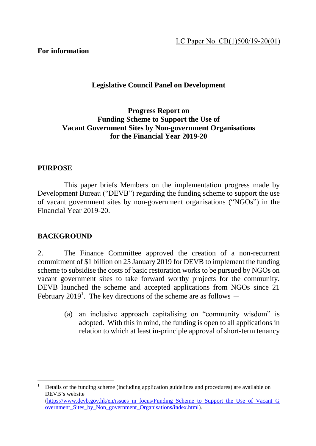### **For information**

# **Legislative Council Panel on Development**

## **Progress Report on Funding Scheme to Support the Use of Vacant Government Sites by Non-government Organisations for the Financial Year 2019-20**

### **PURPOSE**

This paper briefs Members on the implementation progress made by Development Bureau ("DEVB") regarding the funding scheme to support the use of vacant government sites by non-government organisations ("NGOs") in the Financial Year 2019-20.

### **BACKGROUND**

 $\overline{a}$ 

2. The Finance Committee approved the creation of a non-recurrent commitment of \$1 billion on 25 January 2019 for DEVB to implement the funding scheme to subsidise the costs of basic restoration works to be pursued by NGOs on vacant government sites to take forward worthy projects for the community. DEVB launched the scheme and accepted applications from NGOs since 21 February 2019<sup>1</sup>. The key directions of the scheme are as follows  $-$ 

> (a) an inclusive approach capitalising on "community wisdom" is adopted. With this in mind, the funding is open to all applications in relation to which at least in-principle approval of short-term tenancy

<sup>1</sup> Details of the funding scheme (including application guidelines and procedures) are available on DEVB's website [\(https://www.devb.gov.hk/en/issues\\_in\\_focus/Funding\\_Scheme\\_to\\_Support\\_the\\_Use\\_of\\_Vacant\\_G](https://www.devb.gov.hk/en/issues_in_focus/Funding_Scheme_to_Support_the_Use_of_Vacant_Government_Sites_by_Non_government_Organisations/index.html) [overnment\\_Sites\\_by\\_Non\\_government\\_Organisations/index.html\)](https://www.devb.gov.hk/en/issues_in_focus/Funding_Scheme_to_Support_the_Use_of_Vacant_Government_Sites_by_Non_government_Organisations/index.html).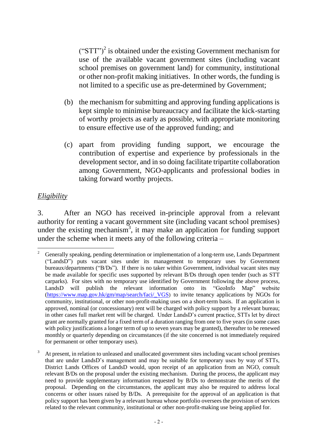$("STT")^2$  is obtained under the existing Government mechanism for use of the available vacant government sites (including vacant school premises on government land) for community, institutional or other non-profit making initiatives. In other words, the funding is not limited to a specific use as pre-determined by Government;

- (b) the mechanism for submitting and approving funding applications is kept simple to minimise bureaucracy and facilitate the kick-starting of worthy projects as early as possible, with appropriate monitoring to ensure effective use of the approved funding; and
- (c) apart from providing funding support, we encourage the contribution of expertise and experience by professionals in the development sector, and in so doing facilitate tripartite collaboration among Government, NGO-applicants and professional bodies in taking forward worthy projects.

# *Eligibility*

3. After an NGO has received in-principle approval from a relevant authority for renting a vacant government site (including vacant school premises) under the existing mechanism<sup>3</sup>, it may make an application for funding support under the scheme when it meets any of the following criteria –

 $\overline{a}$ <sup>2</sup> Generally speaking, pending determination or implementation of a long-term use, Lands Department ("LandsD") puts vacant sites under its management to temporary uses by Government bureaux/departments ("B/Ds"). If there is no taker within Government, individual vacant sites may be made available for specific uses supported by relevant B/Ds through open tender (such as STT carparks). For sites with no temporary use identified by Government following the above process, LandsD will publish the relevant information onto its "GeoInfo Map" website [\(https://www.map.gov.hk/gm/map/search/faci/\\_VGS](https://www.map.gov.hk/gm/map/search/faci/_VGS)) to invite tenancy applications by NGOs for community, institutional, or other non-profit-making uses on a short-term basis. If an application is approved, nominal (or concessionary) rent will be charged with policy support by a relevant bureau; in other cases full market rent will be charged. Under LandsD's current practice, STTs let by direct grant are normally granted for a fixed term of a duration ranging from one to five years (in some cases with policy justifications a longer term of up to seven years may be granted), thereafter to be renewed monthly or quarterly depending on circumstances (if the site concerned is not immediately required for permanent or other temporary uses).

<sup>3</sup> At present, in relation to unleased and unallocated government sites including vacant school premises that are under LandsD's management and may be suitable for temporary uses by way of STTs, District Lands Offices of LandsD would, upon receipt of an application from an NGO, consult relevant B/Ds on the proposal under the existing mechanism. During the process, the applicant may need to provide supplementary information requested by B/Ds to demonstrate the merits of the proposal. Depending on the circumstances, the applicant may also be required to address local concerns or other issues raised by B/Ds. A prerequisite for the approval of an application is that policy support has been given by a relevant bureau whose portfolio oversees the provision of services related to the relevant community, institutional or other non-profit-making use being applied for.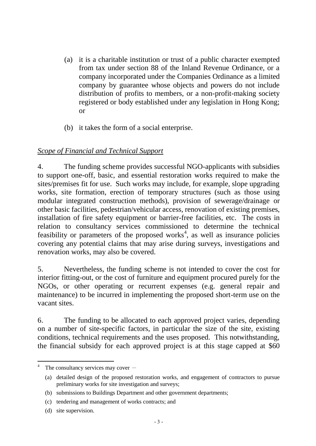- (a) it is a charitable institution or trust of a public character exempted from tax under section 88 of the Inland Revenue Ordinance, or a company incorporated under the Companies Ordinance as a limited company by guarantee whose objects and powers do not include distribution of profits to members, or a non-profit-making society registered or body established under any legislation in Hong Kong; or
- (b) it takes the form of a social enterprise.

# *Scope of Financial and Technical Support*

4. The funding scheme provides successful NGO-applicants with subsidies to support one-off, basic, and essential restoration works required to make the sites/premises fit for use. Such works may include, for example, slope upgrading works, site formation, erection of temporary structures (such as those using modular integrated construction methods), provision of sewerage/drainage or other basic facilities, pedestrian/vehicular access, renovation of existing premises, installation of fire safety equipment or barrier-free facilities, etc. The costs in relation to consultancy services commissioned to determine the technical feasibility or parameters of the proposed works<sup>4</sup>, as well as insurance policies covering any potential claims that may arise during surveys, investigations and renovation works, may also be covered.

5. Nevertheless, the funding scheme is not intended to cover the cost for interior fitting-out, or the cost of furniture and equipment procured purely for the NGOs, or other operating or recurrent expenses (e.g. general repair and maintenance) to be incurred in implementing the proposed short-term use on the vacant sites.

6. The funding to be allocated to each approved project varies, depending on a number of site-specific factors, in particular the size of the site, existing conditions, technical requirements and the uses proposed. This notwithstanding, the financial subsidy for each approved project is at this stage capped at \$60

 $\overline{a}$ 

The consultancy services may cover  $-$ 

<sup>(</sup>a) detailed design of the proposed restoration works, and engagement of contractors to pursue preliminary works for site investigation and surveys;

<sup>(</sup>b) submissions to Buildings Department and other government departments;

<sup>(</sup>c) tendering and management of works contracts; and

<sup>(</sup>d) site supervision.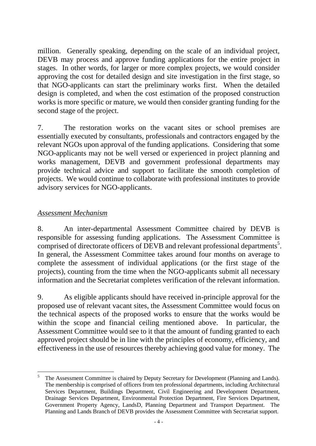million. Generally speaking, depending on the scale of an individual project, DEVB may process and approve funding applications for the entire project in stages. In other words, for larger or more complex projects, we would consider approving the cost for detailed design and site investigation in the first stage, so that NGO-applicants can start the preliminary works first. When the detailed design is completed, and when the cost estimation of the proposed construction works is more specific or mature, we would then consider granting funding for the second stage of the project.

7. The restoration works on the vacant sites or school premises are essentially executed by consultants, professionals and contractors engaged by the relevant NGOs upon approval of the funding applications. Considering that some NGO-applicants may not be well versed or experienced in project planning and works management, DEVB and government professional departments may provide technical advice and support to facilitate the smooth completion of projects. We would continue to collaborate with professional institutes to provide advisory services for NGO-applicants.

## *Assessment Mechanism*

8. An inter-departmental Assessment Committee chaired by DEVB is responsible for assessing funding applications. The Assessment Committee is comprised of directorate officers of DEVB and relevant professional departments<sup>5</sup>. In general, the Assessment Committee takes around four months on average to complete the assessment of individual applications (or the first stage of the projects), counting from the time when the NGO-applicants submit all necessary information and the Secretariat completes verification of the relevant information.

9. As eligible applicants should have received in-principle approval for the proposed use of relevant vacant sites, the Assessment Committee would focus on the technical aspects of the proposed works to ensure that the works would be within the scope and financial ceiling mentioned above. In particular, the Assessment Committee would see to it that the amount of funding granted to each approved project should be in line with the principles of economy, efficiency, and effectiveness in the use of resources thereby achieving good value for money. The

 $\overline{a}$ The Assessment Committee is chaired by Deputy Secretary for Development (Planning and Lands). The membership is comprised of officers from ten professional departments, including Architectural Services Department, Buildings Department, Civil Engineering and Development Department, Drainage Services Department, Environmental Protection Department, Fire Services Department, Government Property Agency, LandsD, Planning Department and Transport Department. The Planning and Lands Branch of DEVB provides the Assessment Committee with Secretariat support.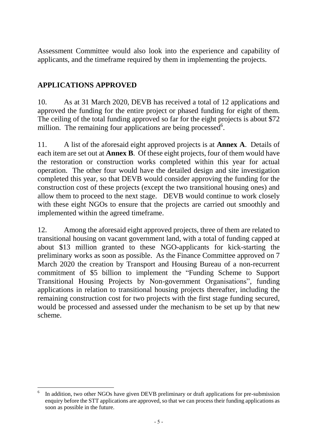Assessment Committee would also look into the experience and capability of applicants, and the timeframe required by them in implementing the projects.

# **APPLICATIONS APPROVED**

10. As at 31 March 2020, DEVB has received a total of 12 applications and approved the funding for the entire project or phased funding for eight of them. The ceiling of the total funding approved so far for the eight projects is about \$72 million. The remaining four applications are being processed<sup>6</sup>.

11. A list of the aforesaid eight approved projects is at **Annex A**. Details of each item are set out at **Annex B**. Of these eight projects, four of them would have the restoration or construction works completed within this year for actual operation. The other four would have the detailed design and site investigation completed this year, so that DEVB would consider approving the funding for the construction cost of these projects (except the two transitional housing ones) and allow them to proceed to the next stage. DEVB would continue to work closely with these eight NGOs to ensure that the projects are carried out smoothly and implemented within the agreed timeframe.

12. Among the aforesaid eight approved projects, three of them are related to transitional housing on vacant government land, with a total of funding capped at about \$13 million granted to these NGO-applicants for kick-starting the preliminary works as soon as possible. As the Finance Committee approved on 7 March 2020 the creation by Transport and Housing Bureau of a non-recurrent commitment of \$5 billion to implement the "Funding Scheme to Support Transitional Housing Projects by Non-government Organisations", funding applications in relation to transitional housing projects thereafter, including the remaining construction cost for two projects with the first stage funding secured, would be processed and assessed under the mechanism to be set up by that new scheme.

 $\overline{a}$ 6 In addition, two other NGOs have given DEVB preliminary or draft applications for pre-submission enquiry before the STT applications are approved, so that we can process their funding applications as soon as possible in the future.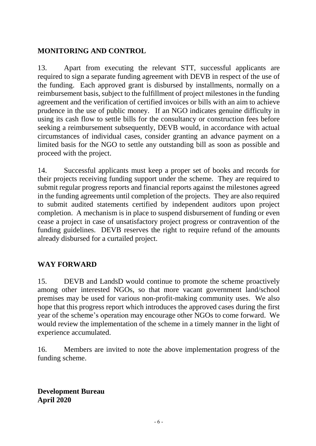# **MONITORING AND CONTROL**

13. Apart from executing the relevant STT, successful applicants are required to sign a separate funding agreement with DEVB in respect of the use of the funding. Each approved grant is disbursed by installments, normally on a reimbursement basis, subject to the fulfillment of project milestones in the funding agreement and the verification of certified invoices or bills with an aim to achieve prudence in the use of public money. If an NGO indicates genuine difficulty in using its cash flow to settle bills for the consultancy or construction fees before seeking a reimbursement subsequently, DEVB would, in accordance with actual circumstances of individual cases, consider granting an advance payment on a limited basis for the NGO to settle any outstanding bill as soon as possible and proceed with the project.

14. Successful applicants must keep a proper set of books and records for their projects receiving funding support under the scheme. They are required to submit regular progress reports and financial reports against the milestones agreed in the funding agreements until completion of the projects. They are also required to submit audited statements certified by independent auditors upon project completion. A mechanism is in place to suspend disbursement of funding or even cease a project in case of unsatisfactory project progress or contravention of the funding guidelines. DEVB reserves the right to require refund of the amounts already disbursed for a curtailed project.

# **WAY FORWARD**

15. DEVB and LandsD would continue to promote the scheme proactively among other interested NGOs, so that more vacant government land/school premises may be used for various non-profit-making community uses. We also hope that this progress report which introduces the approved cases during the first year of the scheme's operation may encourage other NGOs to come forward. We would review the implementation of the scheme in a timely manner in the light of experience accumulated.

16. Members are invited to note the above implementation progress of the funding scheme.

**Development Bureau April 2020**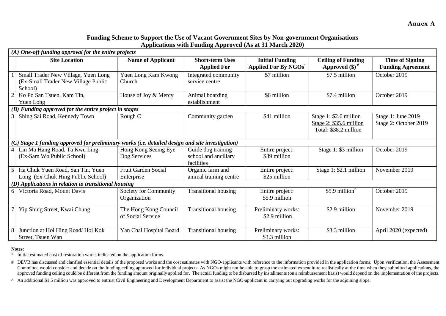### **Funding Scheme to Support the Use of Vacant Government Sites by Non-government Organisations Applications with Funding Approved (As at 31 March 2020)**

|     | $(A)$ One-off funding approval for the entire projects                                       |                                            |                                                          |                                                        |                                                                            |                                                    |
|-----|----------------------------------------------------------------------------------------------|--------------------------------------------|----------------------------------------------------------|--------------------------------------------------------|----------------------------------------------------------------------------|----------------------------------------------------|
|     | <b>Site Location</b>                                                                         | <b>Name of Applicant</b>                   | <b>Short-term Uses</b><br><b>Applied For</b>             | <b>Initial Funding</b><br><b>Applied For By NGOs</b> * | <b>Ceiling of Funding</b><br>Approved $(\$)^{\#}$                          | <b>Time of Signing</b><br><b>Funding Agreement</b> |
|     | Small Trader New Village, Yuen Long<br>(Ex-Small Trader New Village Public<br>School)        | Yuen Long Kam Kwong<br>Church              | Integrated community<br>service centre                   | \$7 million                                            | \$7.5 million                                                              | October 2019                                       |
|     | Ko Po San Tsuen, Kam Tin,<br>Yuen Long                                                       | House of Joy & Mercy                       | Animal boarding<br>establishment                         | \$6 million                                            | \$7.4 million                                                              | October 2019                                       |
|     | (B) Funding approved for the entire project in stages                                        |                                            |                                                          |                                                        |                                                                            |                                                    |
|     | Shing Sai Road, Kennedy Town                                                                 | Rough C                                    | Community garden                                         | \$41 million                                           | Stage 1: \$2.6 million<br>Stage 2: \$35.6 million<br>Total: \$38.2 million | Stage 1: June 2019<br>Stage 2: October 2019        |
| (C) | Stage 1 funding approved for preliminary works (i.e. detailed design and site investigation) |                                            |                                                          |                                                        |                                                                            |                                                    |
|     | Lin Ma Hang Road, Ta Kwu Ling<br>(Ex-Sam Wo Public School)                                   | Hong Kong Seeing Eye<br>Dog Services       | Guide dog training<br>school and ancillary<br>facilities | Entire project:<br>\$39 million                        | Stage 1: \$3 million                                                       | October 2019                                       |
|     | Ha Chuk Yuen Road, San Tin, Yuen<br>Long (Ex-Chuk Hing Public School)                        | Fruit Garden Social<br>Enterprise          | Organic farm and<br>animal training centre               | Entire project:<br>\$25 million                        | Stage 1: \$2.1 million                                                     | November 2019                                      |
|     | (D) Applications in relation to transitional housing                                         |                                            |                                                          |                                                        |                                                                            |                                                    |
| 6   | Victoria Road, Mount Davis                                                                   | Society for Community<br>Organization      | <b>Transitional housing</b>                              | Entire project:<br>\$5.9 million                       | \$5.9 million $\hat{}$                                                     | October 2019                                       |
|     | Yip Shing Street, Kwai Chung                                                                 | The Hong Kong Council<br>of Social Service | <b>Transitional housing</b>                              | Preliminary works:<br>\$2.9 million                    | \$2.9 million                                                              | November 2019                                      |
|     | Junction at Hoi Hing Road/Hoi Kok<br>Street, Tsuen Wan                                       | Yan Chai Hospital Board                    | <b>Transitional housing</b>                              | Preliminary works:<br>\$3.3 million                    | \$3.3 million                                                              | April 2020 (expected)                              |

#### **Notes:**

\* Initial estimated cost of restoration works indicated on the application forms.

- # DEVB has discussed and clarified essential details of the proposed works and the cost estimates with NGO-applicants with reference to the information provided in the application forms. Upon verification, the Assessment Committee would consider and decide on the funding ceiling approved for individual projects. As NGOs might not be able to grasp the estimated expenditure realistically at the time when they submitted applications, the approved funding ceiling could be different from the funding amount originally applied for. The actual funding to be disbursed by installments (on a reimbursement basis) would depend on the implementation of the projects.
- ^ An additional \$1.5 million was approved to entrust Civil Engineering and Development Department to assist the NGO-applicant in carrying out upgrading works for the adjoining slope.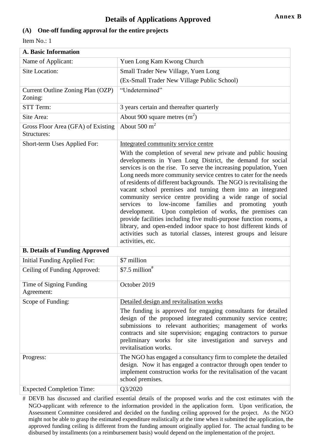### **(A) One-off funding approval for the entire projects**

Item No.: 1

| <b>A. Basic Information</b>                       |                                                                                                                                                                                                                                                                                                                                                                                                                                                                                                                                                                                                                                                                                                                                                                                                                        |  |  |
|---------------------------------------------------|------------------------------------------------------------------------------------------------------------------------------------------------------------------------------------------------------------------------------------------------------------------------------------------------------------------------------------------------------------------------------------------------------------------------------------------------------------------------------------------------------------------------------------------------------------------------------------------------------------------------------------------------------------------------------------------------------------------------------------------------------------------------------------------------------------------------|--|--|
| Name of Applicant:                                | Yuen Long Kam Kwong Church                                                                                                                                                                                                                                                                                                                                                                                                                                                                                                                                                                                                                                                                                                                                                                                             |  |  |
| Site Location:                                    | Small Trader New Village, Yuen Long                                                                                                                                                                                                                                                                                                                                                                                                                                                                                                                                                                                                                                                                                                                                                                                    |  |  |
|                                                   | (Ex-Small Trader New Village Public School)                                                                                                                                                                                                                                                                                                                                                                                                                                                                                                                                                                                                                                                                                                                                                                            |  |  |
| Current Outline Zoning Plan (OZP)<br>Zoning:      | "Undetermined"                                                                                                                                                                                                                                                                                                                                                                                                                                                                                                                                                                                                                                                                                                                                                                                                         |  |  |
| STT Term:                                         | 3 years certain and thereafter quarterly                                                                                                                                                                                                                                                                                                                                                                                                                                                                                                                                                                                                                                                                                                                                                                               |  |  |
| Site Area:                                        | About 900 square metres $(m^2)$                                                                                                                                                                                                                                                                                                                                                                                                                                                                                                                                                                                                                                                                                                                                                                                        |  |  |
| Gross Floor Area (GFA) of Existing<br>Structures: | About $500 \text{ m}^2$                                                                                                                                                                                                                                                                                                                                                                                                                                                                                                                                                                                                                                                                                                                                                                                                |  |  |
| Short-term Uses Applied For:                      | Integrated community service centre                                                                                                                                                                                                                                                                                                                                                                                                                                                                                                                                                                                                                                                                                                                                                                                    |  |  |
|                                                   | With the completion of several new private and public housing<br>developments in Yuen Long District, the demand for social<br>services is on the rise. To serve the increasing population, Yuen<br>Long needs more community service centres to cater for the needs<br>of residents of different backgrounds. The NGO is revitalising the<br>vacant school premises and turning them into an integrated<br>community service centre providing a wide range of social<br>services to low-income families and promoting youth<br>development. Upon completion of works, the premises can<br>provide facilities including five multi-purpose function rooms, a<br>library, and open-ended indoor space to host different kinds of<br>activities such as tutorial classes, interest groups and leisure<br>activities, etc. |  |  |
| <b>B. Details of Funding Approved</b>             |                                                                                                                                                                                                                                                                                                                                                                                                                                                                                                                                                                                                                                                                                                                                                                                                                        |  |  |
| Initial Funding Applied For:                      | \$7 million                                                                                                                                                                                                                                                                                                                                                                                                                                                                                                                                                                                                                                                                                                                                                                                                            |  |  |
| Ceiling of Funding Approved:                      | $$7.5$ million <sup>#</sup>                                                                                                                                                                                                                                                                                                                                                                                                                                                                                                                                                                                                                                                                                                                                                                                            |  |  |
| Time of Signing Funding<br>Agreement:             | October 2019                                                                                                                                                                                                                                                                                                                                                                                                                                                                                                                                                                                                                                                                                                                                                                                                           |  |  |
| Scope of Funding:                                 | Detailed design and revitalisation works                                                                                                                                                                                                                                                                                                                                                                                                                                                                                                                                                                                                                                                                                                                                                                               |  |  |
|                                                   | The funding is approved for engaging consultants for detailed<br>design of the proposed integrated community service centre;<br>submissions to relevant authorities; management of works<br>contracts and site supervision; engaging contractors to pursue<br>preliminary works for site investigation and surveys and<br>revitalisation works.                                                                                                                                                                                                                                                                                                                                                                                                                                                                        |  |  |
| Progress:                                         | The NGO has engaged a consultancy firm to complete the detailed<br>design. Now it has engaged a contractor through open tender to<br>implement construction works for the revitalisation of the vacant<br>school premises.                                                                                                                                                                                                                                                                                                                                                                                                                                                                                                                                                                                             |  |  |
| <b>Expected Completion Time:</b>                  | Q3/2020                                                                                                                                                                                                                                                                                                                                                                                                                                                                                                                                                                                                                                                                                                                                                                                                                |  |  |
|                                                   |                                                                                                                                                                                                                                                                                                                                                                                                                                                                                                                                                                                                                                                                                                                                                                                                                        |  |  |

# DEVB has discussed and clarified essential details of the proposed works and the cost estimates with the NGO-applicant with reference to the information provided in the application form. Upon verification, the Assessment Committee considered and decided on the funding ceiling approved for the project. As the NGO might not be able to grasp the estimated expenditure realistically at the time when it submitted the application, the approved funding ceiling is different from the funding amount originally applied for. The actual funding to be disbursed by installments (on a reimbursement basis) would depend on the implementation of the project.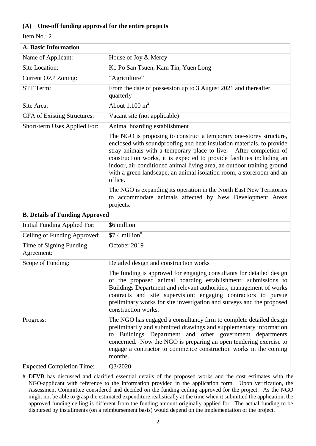### **(A) One-off funding approval for the entire projects**

Item No.: 2

| A. Basic Information                  |                                                                                                                                                                                                                                                                                                                                                                                                                                                         |
|---------------------------------------|---------------------------------------------------------------------------------------------------------------------------------------------------------------------------------------------------------------------------------------------------------------------------------------------------------------------------------------------------------------------------------------------------------------------------------------------------------|
| Name of Applicant:                    | House of Joy & Mercy                                                                                                                                                                                                                                                                                                                                                                                                                                    |
| Site Location:                        | Ko Po San Tsuen, Kam Tin, Yuen Long                                                                                                                                                                                                                                                                                                                                                                                                                     |
| Current OZP Zoning:                   | "Agriculture"                                                                                                                                                                                                                                                                                                                                                                                                                                           |
| STT Term:                             | From the date of possession up to 3 August 2021 and thereafter<br>quarterly                                                                                                                                                                                                                                                                                                                                                                             |
| Site Area:                            | About $1,100 \text{ m}^2$                                                                                                                                                                                                                                                                                                                                                                                                                               |
| <b>GFA</b> of Existing Structures:    | Vacant site (not applicable)                                                                                                                                                                                                                                                                                                                                                                                                                            |
| Short-term Uses Applied For:          | Animal boarding establishment                                                                                                                                                                                                                                                                                                                                                                                                                           |
|                                       | The NGO is proposing to construct a temporary one-storey structure,<br>enclosed with soundproofing and heat insulation materials, to provide<br>stray animals with a temporary place to live. After completion of<br>construction works, it is expected to provide facilities including an<br>indoor, air-conditioned animal living area, an outdoor training ground<br>with a green landscape, an animal isolation room, a storeroom and an<br>office. |
|                                       | The NGO is expanding its operation in the North East New Territories<br>to accommodate animals affected by New Development Areas<br>projects.                                                                                                                                                                                                                                                                                                           |
| <b>B. Details of Funding Approved</b> |                                                                                                                                                                                                                                                                                                                                                                                                                                                         |
| Initial Funding Applied For:          | \$6 million                                                                                                                                                                                                                                                                                                                                                                                                                                             |
| Ceiling of Funding Approved:          | $$7.4$ million <sup>#</sup>                                                                                                                                                                                                                                                                                                                                                                                                                             |
| Time of Signing Funding<br>Agreement: | October 2019                                                                                                                                                                                                                                                                                                                                                                                                                                            |
| Scope of Funding:                     | Detailed design and construction works                                                                                                                                                                                                                                                                                                                                                                                                                  |
|                                       | The funding is approved for engaging consultants for detailed design<br>of the proposed animal boarding establishment; submissions to<br>Buildings Department and relevant authorities; management of works<br>contracts and site supervision; engaging contractors to pursue<br>preliminary works for site investigation and surveys and the proposed<br>construction works.                                                                           |
| Progress:                             | The NGO has engaged a consultancy firm to complete detailed design<br>preliminarily and submitted drawings and supplementary information<br>Buildings Department and other government departments<br>to<br>concerned. Now the NGO is preparing an open tendering exercise to<br>engage a contractor to commence construction works in the coming<br>months.                                                                                             |
| <b>Expected Completion Time:</b>      | Q3/2020                                                                                                                                                                                                                                                                                                                                                                                                                                                 |

# DEVB has discussed and clarified essential details of the proposed works and the cost estimates with the NGO-applicant with reference to the information provided in the application form. Upon verification, the Assessment Committee considered and decided on the funding ceiling approved for the project. As the NGO might not be able to grasp the estimated expenditure realistically at the time when it submitted the application, the approved funding ceiling is different from the funding amount originally applied for. The actual funding to be disbursed by installments (on a reimbursement basis) would depend on the implementation of the project.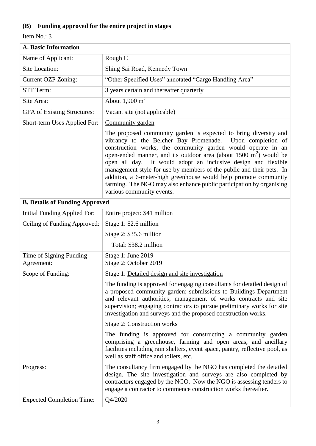# **(B) Funding approved for the entire project in stages**

| <b>A. Basic Information</b>           |                                                                                                                                                                                                                                                                                                                                                                                                                                                                                                                                                                                                       |  |
|---------------------------------------|-------------------------------------------------------------------------------------------------------------------------------------------------------------------------------------------------------------------------------------------------------------------------------------------------------------------------------------------------------------------------------------------------------------------------------------------------------------------------------------------------------------------------------------------------------------------------------------------------------|--|
| Name of Applicant:                    | Rough C                                                                                                                                                                                                                                                                                                                                                                                                                                                                                                                                                                                               |  |
| Site Location:                        | Shing Sai Road, Kennedy Town                                                                                                                                                                                                                                                                                                                                                                                                                                                                                                                                                                          |  |
| <b>Current OZP Zoning:</b>            | "Other Specified Uses" annotated "Cargo Handling Area"                                                                                                                                                                                                                                                                                                                                                                                                                                                                                                                                                |  |
| STT Term:                             | 3 years certain and thereafter quarterly                                                                                                                                                                                                                                                                                                                                                                                                                                                                                                                                                              |  |
| Site Area:                            | About $1,900 \text{ m}^2$                                                                                                                                                                                                                                                                                                                                                                                                                                                                                                                                                                             |  |
| <b>GFA</b> of Existing Structures:    | Vacant site (not applicable)                                                                                                                                                                                                                                                                                                                                                                                                                                                                                                                                                                          |  |
| Short-term Uses Applied For:          | Community garden                                                                                                                                                                                                                                                                                                                                                                                                                                                                                                                                                                                      |  |
|                                       | The proposed community garden is expected to bring diversity and<br>vibrancy to the Belcher Bay Promenade.<br>Upon completion of<br>construction works, the community garden would operate in an<br>open-ended manner, and its outdoor area (about $1500 \text{ m}^2$ ) would be<br>It would adopt an inclusive design and flexible<br>open all day.<br>management style for use by members of the public and their pets. In<br>addition, a 6-meter-high greenhouse would help promote community<br>farming. The NGO may also enhance public participation by organising<br>various community events. |  |
| <b>B. Details of Funding Approved</b> |                                                                                                                                                                                                                                                                                                                                                                                                                                                                                                                                                                                                       |  |
| Initial Funding Applied For:          | Entire project: \$41 million                                                                                                                                                                                                                                                                                                                                                                                                                                                                                                                                                                          |  |
| Ceiling of Funding Approved:          | Stage 1: \$2.6 million                                                                                                                                                                                                                                                                                                                                                                                                                                                                                                                                                                                |  |
|                                       | Stage $2: $35.6$ million                                                                                                                                                                                                                                                                                                                                                                                                                                                                                                                                                                              |  |
|                                       | Total: \$38.2 million                                                                                                                                                                                                                                                                                                                                                                                                                                                                                                                                                                                 |  |
| Time of Signing Funding<br>Agreement: | Stage 1: June 2019<br>Stage 2: October 2019                                                                                                                                                                                                                                                                                                                                                                                                                                                                                                                                                           |  |
| Scope of Funding:                     | Stage 1: Detailed design and site investigation                                                                                                                                                                                                                                                                                                                                                                                                                                                                                                                                                       |  |
|                                       | The funding is approved for engaging consultants for detailed design of<br>a proposed community garden; submissions to Buildings Department<br>and relevant authorities; management of works contracts and site<br>supervision; engaging contractors to pursue preliminary works for site<br>investigation and surveys and the proposed construction works.                                                                                                                                                                                                                                           |  |
|                                       | Stage 2: Construction works                                                                                                                                                                                                                                                                                                                                                                                                                                                                                                                                                                           |  |
|                                       | The funding is approved for constructing a community garden<br>comprising a greenhouse, farming and open areas, and ancillary<br>facilities including rain shelters, event space, pantry, reflective pool, as<br>well as staff office and toilets, etc.                                                                                                                                                                                                                                                                                                                                               |  |
| Progress:                             | The consultancy firm engaged by the NGO has completed the detailed<br>design. The site investigation and surveys are also completed by<br>contractors engaged by the NGO. Now the NGO is assessing tenders to<br>engage a contractor to commence construction works thereafter.                                                                                                                                                                                                                                                                                                                       |  |
| <b>Expected Completion Time:</b>      | Q4/2020                                                                                                                                                                                                                                                                                                                                                                                                                                                                                                                                                                                               |  |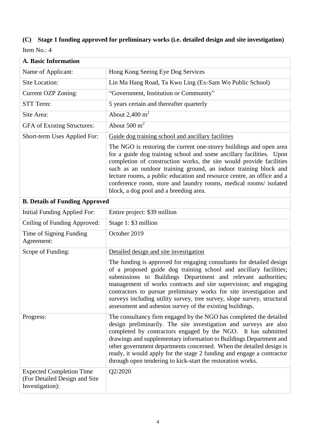# **(C) Stage 1 funding approved for preliminary works (i.e. detailed design and site investigation)**

| <b>A. Basic Information</b>                                                         |                                                                                                                                                                                                                                                                                                                                                                                                                                                                                               |  |  |
|-------------------------------------------------------------------------------------|-----------------------------------------------------------------------------------------------------------------------------------------------------------------------------------------------------------------------------------------------------------------------------------------------------------------------------------------------------------------------------------------------------------------------------------------------------------------------------------------------|--|--|
| Name of Applicant:                                                                  | Hong Kong Seeing Eye Dog Services                                                                                                                                                                                                                                                                                                                                                                                                                                                             |  |  |
| <b>Site Location:</b>                                                               | Lin Ma Hang Road, Ta Kwu Ling (Ex-Sam Wo Public School)                                                                                                                                                                                                                                                                                                                                                                                                                                       |  |  |
| <b>Current OZP Zoning:</b>                                                          | "Government, Institution or Community"                                                                                                                                                                                                                                                                                                                                                                                                                                                        |  |  |
| STT Term:                                                                           | 5 years certain and thereafter quarterly                                                                                                                                                                                                                                                                                                                                                                                                                                                      |  |  |
| Site Area:                                                                          | About $2,400 \text{ m}^2$                                                                                                                                                                                                                                                                                                                                                                                                                                                                     |  |  |
| <b>GFA</b> of Existing Structures:                                                  | About $500 \text{ m}^2$                                                                                                                                                                                                                                                                                                                                                                                                                                                                       |  |  |
| Short-term Uses Applied For:                                                        | Guide dog training school and ancillary facilities                                                                                                                                                                                                                                                                                                                                                                                                                                            |  |  |
|                                                                                     | The NGO is restoring the current one-storey buildings and open area<br>for a guide dog training school and some ancillary facilities. Upon<br>completion of construction works, the site would provide facilities<br>such as an outdoor training ground, an indoor training block and<br>lecture rooms, a public education and resource centre, an office and a<br>conference room, store and laundry rooms, medical rooms/ isolated<br>block, a dog pool and a breeding area.                |  |  |
| <b>B. Details of Funding Approved</b>                                               |                                                                                                                                                                                                                                                                                                                                                                                                                                                                                               |  |  |
| Initial Funding Applied For:                                                        | Entire project: \$39 million                                                                                                                                                                                                                                                                                                                                                                                                                                                                  |  |  |
| Ceiling of Funding Approved:                                                        | Stage 1: \$3 million                                                                                                                                                                                                                                                                                                                                                                                                                                                                          |  |  |
| Time of Signing Funding<br>Agreement:                                               | October 2019                                                                                                                                                                                                                                                                                                                                                                                                                                                                                  |  |  |
| Scope of Funding:                                                                   | Detailed design and site investigation                                                                                                                                                                                                                                                                                                                                                                                                                                                        |  |  |
|                                                                                     | The funding is approved for engaging consultants for detailed design<br>of a proposed guide dog training school and ancillary facilities;<br>submissions to Buildings Department and relevant authorities;<br>management of works contracts and site supervision; and engaging<br>contractors to pursue preliminary works for site investigation and<br>surveys including utility survey, tree survey, slope survey, structural<br>assessment and asbestos survey of the existing buildings.  |  |  |
| Progress:                                                                           | The consultancy firm engaged by the NGO has completed the detailed<br>design preliminarily. The site investigation and surveys are also<br>completed by contractors engaged by the NGO. It has submitted<br>drawings and supplementary information to Buildings Department and<br>other government departments concerned. When the detailed design is<br>ready, it would apply for the stage 2 funding and engage a contractor<br>through open tendering to kick-start the restoration works. |  |  |
| <b>Expected Completion Time</b><br>(For Detailed Design and Site<br>Investigation): | Q2/2020                                                                                                                                                                                                                                                                                                                                                                                                                                                                                       |  |  |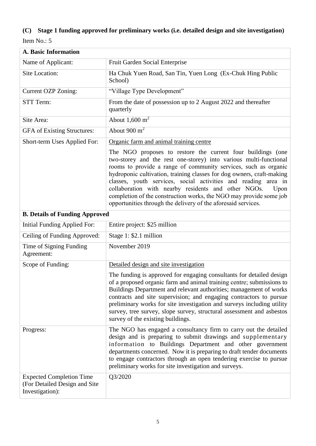# **(C) Stage 1 funding approved for preliminary works (i.e. detailed design and site investigation)**

| <b>A. Basic Information</b>                                                         |                                                                                                                                                                                                                                                                                                                                                                                                                                                                                                                                                      |  |
|-------------------------------------------------------------------------------------|------------------------------------------------------------------------------------------------------------------------------------------------------------------------------------------------------------------------------------------------------------------------------------------------------------------------------------------------------------------------------------------------------------------------------------------------------------------------------------------------------------------------------------------------------|--|
| Name of Applicant:                                                                  | Fruit Garden Social Enterprise                                                                                                                                                                                                                                                                                                                                                                                                                                                                                                                       |  |
| Site Location:                                                                      | Ha Chuk Yuen Road, San Tin, Yuen Long (Ex-Chuk Hing Public<br>School)                                                                                                                                                                                                                                                                                                                                                                                                                                                                                |  |
| Current OZP Zoning:                                                                 | "Village Type Development"                                                                                                                                                                                                                                                                                                                                                                                                                                                                                                                           |  |
| STT Term:                                                                           | From the date of possession up to 2 August 2022 and thereafter<br>quarterly                                                                                                                                                                                                                                                                                                                                                                                                                                                                          |  |
| Site Area:                                                                          | About $1,600 \text{ m}^2$                                                                                                                                                                                                                                                                                                                                                                                                                                                                                                                            |  |
| <b>GFA</b> of Existing Structures:                                                  | About $900 \text{ m}^2$                                                                                                                                                                                                                                                                                                                                                                                                                                                                                                                              |  |
| Short-term Uses Applied For:                                                        | Organic farm and animal training centre                                                                                                                                                                                                                                                                                                                                                                                                                                                                                                              |  |
|                                                                                     | The NGO proposes to restore the current four buildings (one<br>two-storey and the rest one-storey) into various multi-functional<br>rooms to provide a range of community services, such as organic<br>hydroponic cultivation, training classes for dog owners, craft-making<br>classes, youth services, social activities and reading area in<br>collaboration with nearby residents and other NGOs.<br>Upon<br>completion of the construction works, the NGO may provide some job<br>opportunities through the delivery of the aforesaid services. |  |
| <b>B. Details of Funding Approved</b>                                               |                                                                                                                                                                                                                                                                                                                                                                                                                                                                                                                                                      |  |
| Initial Funding Applied For:                                                        | Entire project: \$25 million                                                                                                                                                                                                                                                                                                                                                                                                                                                                                                                         |  |
| Ceiling of Funding Approved:                                                        | Stage 1: \$2.1 million                                                                                                                                                                                                                                                                                                                                                                                                                                                                                                                               |  |
| Time of Signing Funding<br>Agreement:                                               | November 2019                                                                                                                                                                                                                                                                                                                                                                                                                                                                                                                                        |  |
| Scope of Funding:                                                                   | Detailed design and site investigation                                                                                                                                                                                                                                                                                                                                                                                                                                                                                                               |  |
|                                                                                     | The funding is approved for engaging consultants for detailed design<br>of a proposed organic farm and animal training centre; submissions to<br>Buildings Department and relevant authorities; management of works<br>contracts and site supervision; and engaging contractors to pursue<br>preliminary works for site investigation and surveys including utility<br>survey, tree survey, slope survey, structural assessment and asbestos<br>survey of the existing buildings.                                                                    |  |
| Progress:                                                                           | The NGO has engaged a consultancy firm to carry out the detailed<br>design and is preparing to submit drawings and supplementary<br>information to Buildings Department and other government<br>departments concerned. Now it is preparing to draft tender documents<br>to engage contractors through an open tendering exercise to pursue<br>preliminary works for site investigation and surveys.                                                                                                                                                  |  |
| <b>Expected Completion Time</b><br>(For Detailed Design and Site<br>Investigation): | Q3/2020                                                                                                                                                                                                                                                                                                                                                                                                                                                                                                                                              |  |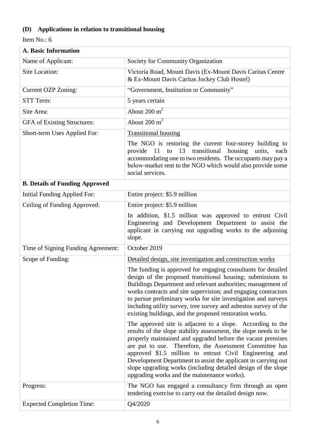# **(D) Applications in relation to transitional housing**

| A. Basic Information                  |                                                                                                                                                                                                                                                                                                                                                                                                                                                                                                       |  |
|---------------------------------------|-------------------------------------------------------------------------------------------------------------------------------------------------------------------------------------------------------------------------------------------------------------------------------------------------------------------------------------------------------------------------------------------------------------------------------------------------------------------------------------------------------|--|
| Name of Applicant:                    | Society for Community Organization                                                                                                                                                                                                                                                                                                                                                                                                                                                                    |  |
| Site Location:                        | Victoria Road, Mount Davis (Ex-Mount Davis Caritas Centre<br>& Ex-Mount Davis Caritas Jockey Club Hostel)                                                                                                                                                                                                                                                                                                                                                                                             |  |
| <b>Current OZP Zoning:</b>            | "Government, Institution or Community"                                                                                                                                                                                                                                                                                                                                                                                                                                                                |  |
| STT Term:                             | 5 years certain                                                                                                                                                                                                                                                                                                                                                                                                                                                                                       |  |
| Site Area:                            | About $200 \text{ m}^2$                                                                                                                                                                                                                                                                                                                                                                                                                                                                               |  |
| <b>GFA</b> of Existing Structures:    | About $200 \text{ m}^2$                                                                                                                                                                                                                                                                                                                                                                                                                                                                               |  |
| Short-term Uses Applied For:          | <b>Transitional housing</b>                                                                                                                                                                                                                                                                                                                                                                                                                                                                           |  |
|                                       | The NGO is restoring the current four-storey building to<br>13<br>transitional housing<br>provide 11<br>units,<br>to<br>each<br>accommodating one to two residents. The occupants may pay a<br>below-market rent to the NGO which would also provide some<br>social services.                                                                                                                                                                                                                         |  |
| <b>B. Details of Funding Approved</b> |                                                                                                                                                                                                                                                                                                                                                                                                                                                                                                       |  |
| Initial Funding Applied For:          | Entire project: \$5.9 million                                                                                                                                                                                                                                                                                                                                                                                                                                                                         |  |
| Ceiling of Funding Approved:          | Entire project: \$5.9 million                                                                                                                                                                                                                                                                                                                                                                                                                                                                         |  |
|                                       | In addition, \$1.5 million was approved to entrust Civil<br>Engineering and Development Department to assist the<br>applicant in carrying out upgrading works to the adjoining<br>slope.                                                                                                                                                                                                                                                                                                              |  |
| Time of Signing Funding Agreement:    | October 2019                                                                                                                                                                                                                                                                                                                                                                                                                                                                                          |  |
| Scope of Funding:                     | Detailed design, site investigation and construction works                                                                                                                                                                                                                                                                                                                                                                                                                                            |  |
|                                       | The funding is approved for engaging consultants for detailed<br>design of the proposed transitional housing; submissions to<br>Buildings Department and relevant authorities; management of<br>works contracts and site supervision; and engaging contractors<br>to pursue preliminary works for site investigation and surveys<br>including utility survey, tree survey and asbestos survey of the<br>existing buildings, and the proposed restoration works.                                       |  |
|                                       | The approved site is adjacent to a slope. According to the<br>results of the slope stability assessment, the slope needs to be<br>properly maintained and upgraded before the vacant premises<br>are put to use. Therefore, the Assessment Committee has<br>approved \$1.5 million to entrust Civil Engineering and<br>Development Department to assist the applicant in carrying out<br>slope upgrading works (including detailed design of the slope<br>upgrading works and the maintenance works). |  |
| Progress:                             | The NGO has engaged a consultancy firm through an open<br>tendering exercise to carry out the detailed design now.                                                                                                                                                                                                                                                                                                                                                                                    |  |
| <b>Expected Completion Time:</b>      | Q4/2020                                                                                                                                                                                                                                                                                                                                                                                                                                                                                               |  |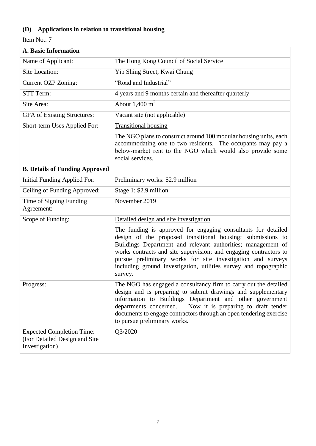# **(D) Applications in relation to transitional housing**

| A. Basic Information                                                                |                                                                                                                                                                                                                                                                                                                                                                                                                 |
|-------------------------------------------------------------------------------------|-----------------------------------------------------------------------------------------------------------------------------------------------------------------------------------------------------------------------------------------------------------------------------------------------------------------------------------------------------------------------------------------------------------------|
| Name of Applicant:                                                                  | The Hong Kong Council of Social Service                                                                                                                                                                                                                                                                                                                                                                         |
| <b>Site Location:</b>                                                               | Yip Shing Street, Kwai Chung                                                                                                                                                                                                                                                                                                                                                                                    |
| Current OZP Zoning:                                                                 | "Road and Industrial"                                                                                                                                                                                                                                                                                                                                                                                           |
| STT Term:                                                                           | 4 years and 9 months certain and thereafter quarterly                                                                                                                                                                                                                                                                                                                                                           |
| Site Area:                                                                          | About $1,400 \text{ m}^2$                                                                                                                                                                                                                                                                                                                                                                                       |
| GFA of Existing Structures:                                                         | Vacant site (not applicable)                                                                                                                                                                                                                                                                                                                                                                                    |
| Short-term Uses Applied For:                                                        | <b>Transitional housing</b>                                                                                                                                                                                                                                                                                                                                                                                     |
|                                                                                     | The NGO plans to construct around 100 modular housing units, each<br>accommodating one to two residents. The occupants may pay a<br>below-market rent to the NGO which would also provide some<br>social services.                                                                                                                                                                                              |
| <b>B. Details of Funding Approved</b>                                               |                                                                                                                                                                                                                                                                                                                                                                                                                 |
| <b>Initial Funding Applied For:</b>                                                 | Preliminary works: \$2.9 million                                                                                                                                                                                                                                                                                                                                                                                |
| Ceiling of Funding Approved:                                                        | Stage 1: \$2.9 million                                                                                                                                                                                                                                                                                                                                                                                          |
| Time of Signing Funding<br>Agreement:                                               | November 2019                                                                                                                                                                                                                                                                                                                                                                                                   |
| Scope of Funding:                                                                   | Detailed design and site investigation                                                                                                                                                                                                                                                                                                                                                                          |
|                                                                                     | The funding is approved for engaging consultants for detailed<br>design of the proposed transitional housing; submissions to<br>Buildings Department and relevant authorities; management of<br>works contracts and site supervision; and engaging contractors to<br>pursue preliminary works for site investigation and surveys<br>including ground investigation, utilities survey and topographic<br>survey. |
| Progress:                                                                           | The NGO has engaged a consultancy firm to carry out the detailed<br>design and is preparing to submit drawings and supplementary<br>information to Buildings Department and other government<br>Now it is preparing to draft tender<br>departments concerned.<br>documents to engage contractors through an open tendering exercise<br>to pursue preliminary works.                                             |
| <b>Expected Completion Time:</b><br>(For Detailed Design and Site<br>Investigation) | Q3/2020                                                                                                                                                                                                                                                                                                                                                                                                         |